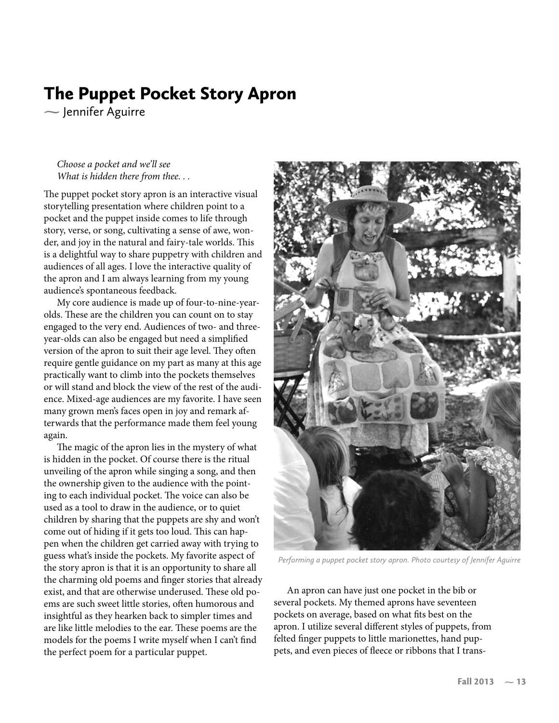and Puppet Puppet Pocket Story April 2014 Jennifer Aguirre

*Choose a pocket and we'll see What is hidden there from thee. . .*

The puppet pocket story apron is an interactive visual storytelling presentation where children point to a pocket and the puppet inside comes to life through story, verse, or song, cultivating a sense of awe, wonder, and joy in the natural and fairy-tale worlds. This is a delightful way to share puppetry with children and audiences of all ages. I love the interactive quality of the apron and I am always learning from my young audience's spontaneous feedback.

My core audience is made up of four-to-nine-yearolds. These are the children you can count on to stay engaged to the very end. Audiences of two- and threeyear-olds can also be engaged but need a simplified version of the apron to suit their age level. They often require gentle guidance on my part as many at this age practically want to climb into the pockets themselves or will stand and block the view of the rest of the audience. Mixed-age audiences are my favorite. I have seen many grown men's faces open in joy and remark afterwards that the performance made them feel young again.

The magic of the apron lies in the mystery of what is hidden in the pocket. Of course there is the ritual unveiling of the apron while singing a song, and then the ownership given to the audience with the pointing to each individual pocket. The voice can also be used as a tool to draw in the audience, or to quiet children by sharing that the puppets are shy and won't come out of hiding if it gets too loud. This can happen when the children get carried away with trying to guess what's inside the pockets. My favorite aspect of the story apron is that it is an opportunity to share all the charming old poems and finger stories that already exist, and that are otherwise underused. These old poems are such sweet little stories, often humorous and insightful as they hearken back to simpler times and are like little melodies to the ear. These poems are the models for the poems I write myself when I can't find the perfect poem for a particular puppet.



*Performing a puppet pocket story apron. Photo courtesy of Jennifer Aguirre*

An apron can have just one pocket in the bib or several pockets. My themed aprons have seventeen pockets on average, based on what fits best on the apron. I utilize several different styles of puppets, from felted finger puppets to little marionettes, hand puppets, and even pieces of fleece or ribbons that I trans